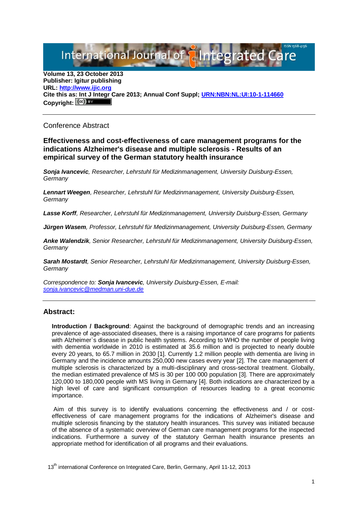# International Journal of **Plntegrated**

**Volume 13, 23 October 2013 Publisher: Igitur publishing URL[: http://www.ijic.org](http://www.ijic.org/) Cite this as: Int J Integr Care 2013; Annual Conf Suppl; [URN:NBN:NL:UI:10-1-114660](http://persistent-identifier.nl/?identifier=URN:NBN:NL:UI:10-1-114660)** Copyright:  $(cc)$  **E**Y

## Conference Abstract

## **Effectiveness and cost-effectiveness of care management programs for the indications Alzheimer's disease and multiple sclerosis - Results of an empirical survey of the German statutory health insurance**

*Sonja Ivancevic, Researcher, Lehrstuhl für Medizinmanagement, University Duisburg-Essen, Germany*

*Lennart Weegen, Researcher, Lehrstuhl für Medizinmanagement, University Duisburg-Essen, Germany*

*Lasse Korff, Researcher, Lehrstuhl für Medizinmanagement, University Duisburg-Essen, Germany*

*Jürgen Wasem, Professor, Lehrstuhl für Medizinmanagement, University Duisburg-Essen, Germany*

*Anke Walendzik, Senior Researcher, Lehrstuhl für Medizinmanagement, University Duisburg-Essen, Germany*

*Sarah Mostardt, Senior Researcher, Lehrstuhl für Medizinmanagement, University Duisburg-Essen, Germany*

*Correspondence to: Sonja Ivancevic, University Duisburg-Essen, E-mail: [sonja.ivancevic@medman.uni-due.de](mailto:sonja.ivancevic@medman.uni-due.de)*

# **Abstract:**

**Introduction / Background:** Against the background of demographic trends and an increasing prevalence of age-associated diseases, there is a raising importance of care programs for patients with Alzheimer`s disease in public health systems. According to WHO the number of people living with dementia worldwide in 2010 is estimated at 35.6 million and is projected to nearly double every 20 years, to 65.7 million in 2030 [1]. Currently 1.2 million people with dementia are living in Germany and the incidence amounts 250,000 new cases every year [2]. The care management of multiple sclerosis is characterized by a multi-disciplinary and cross-sectoral treatment. Globally, the median estimated prevalence of MS is 30 per 100 000 population [3]. There are approximately 120,000 to 180,000 people with MS living in Germany [4]. Both indications are characterized by a high level of care and significant consumption of resources leading to a great economic importance.

Aim of this survey is to identify evaluations concerning the effectiveness and / or costeffectiveness of care management programs for the indications of Alzheimer's disease and multiple sclerosis financing by the statutory health insurances. This survey was initiated because of the absence of a systematic overview of German care management programs for the inspected indications. Furthermore a survey of the statutory German health insurance presents an appropriate method for identification of all programs and their evaluations.

13<sup>th</sup> international Conference on Integrated Care, Berlin, Germany, April 11-12, 2013